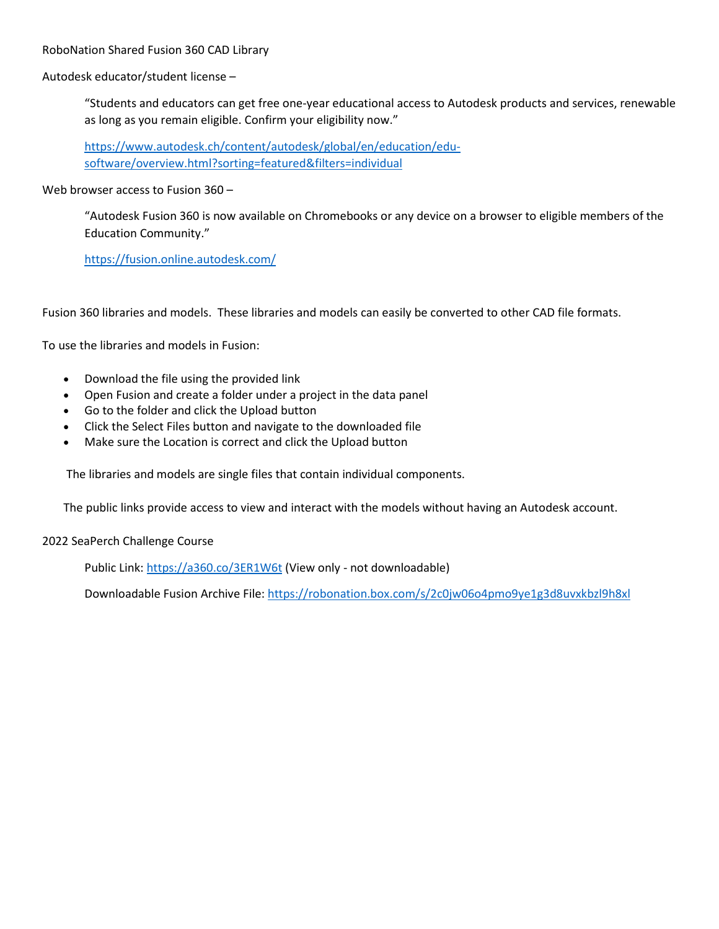RoboNation Shared Fusion 360 CAD Library

Autodesk educator/student license –

"Students and educators can get free one-year educational access to Autodesk products and services, renewable as long as you remain eligible. Confirm your eligibility now."

https://www.autodesk.ch/content/autodesk/global/en/education/edusoftware/overview.html?sorting=featured&filters=individual

Web browser access to Fusion 360 –

"Autodesk Fusion 360 is now available on Chromebooks or any device on a browser to eligible members of the Education Community."

<https://fusion.online.autodesk.com/>

Fusion 360 libraries and models. These libraries and models can easily be converted to other CAD file formats.

To use the libraries and models in Fusion:

- Download the file using the provided link
- Open Fusion and create a folder under a project in the data panel
- Go to the folder and click the Upload button
- Click the Select Files button and navigate to the downloaded file
- Make sure the Location is correct and click the Upload button

The libraries and models are single files that contain individual components.

The public links provide access to view and interact with the models without having an Autodesk account.

## 2022 SeaPerch Challenge Course

Public Link:<https://a360.co/3ER1W6t> (View only - not downloadable)

Downloadable Fusion Archive File:<https://robonation.box.com/s/2c0jw06o4pmo9ye1g3d8uvxkbzl9h8xl>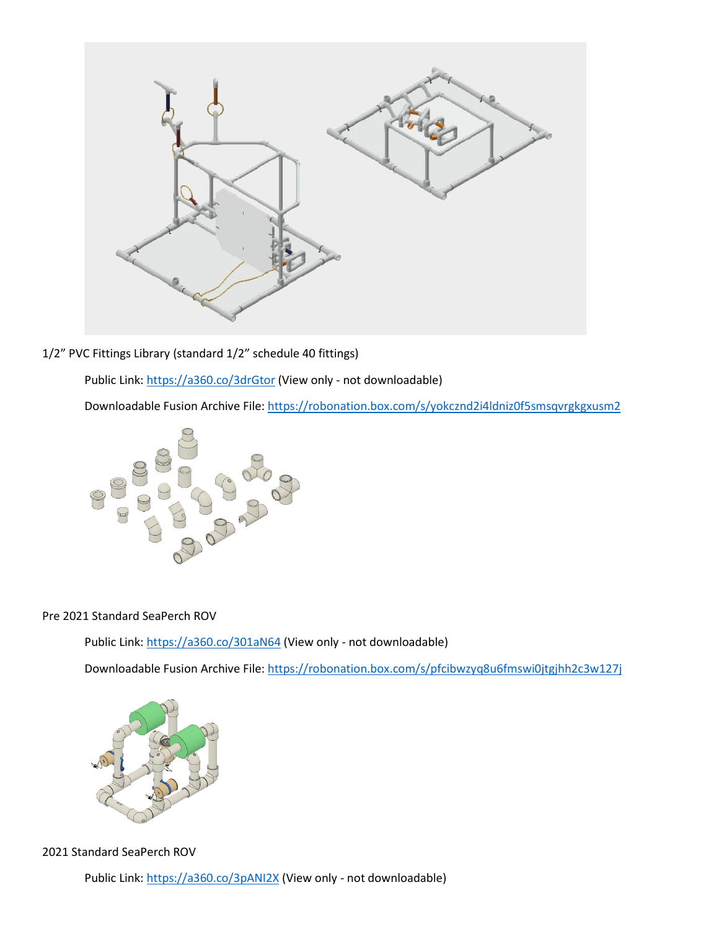

1/2" PVC Fittings Library (standard 1/2" schedule 40 fittings)

Public Link:<https://a360.co/3drGtor> (View only - not downloadable)

Downloadable Fusion Archive File:<https://robonation.box.com/s/yokcznd2i4ldniz0f5smsqvrgkgxusm2>



## Pre 2021 Standard SeaPerch ROV

Public Link:<https://a360.co/301aN64> (View only - not downloadable)

Downloadable Fusion Archive File:<https://robonation.box.com/s/pfcibwzyq8u6fmswi0jtgjhh2c3w127j>



2021 Standard SeaPerch ROV

Public Link:<https://a360.co/3pANI2X> (View only - not downloadable)